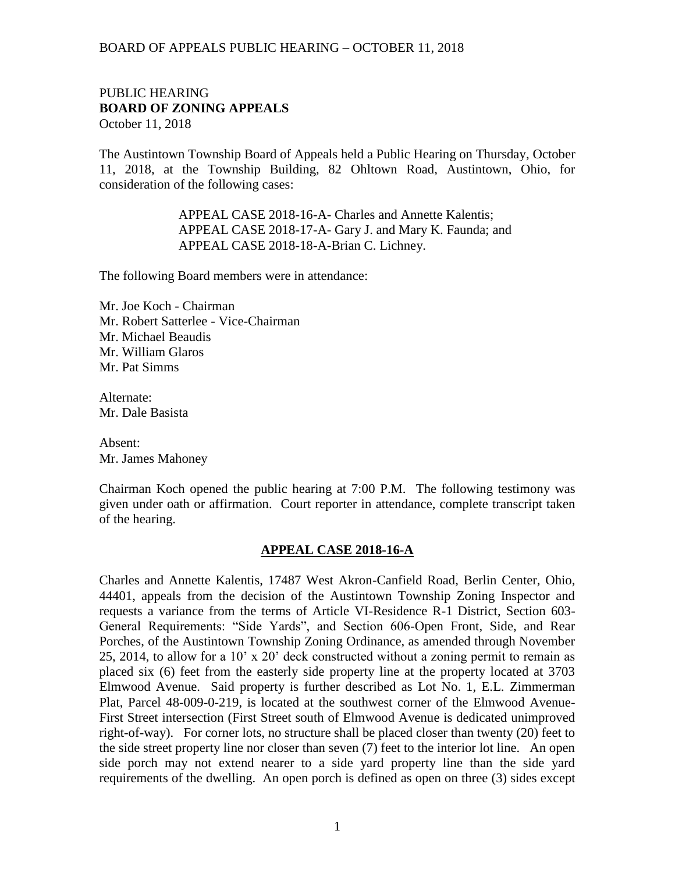#### PUBLIC HEARING **BOARD OF ZONING APPEALS**  October 11, 2018

The Austintown Township Board of Appeals held a Public Hearing on Thursday, October 11, 2018, at the Township Building, 82 Ohltown Road, Austintown, Ohio, for consideration of the following cases:

> APPEAL CASE 2018-16-A- Charles and Annette Kalentis; APPEAL CASE 2018-17-A- Gary J. and Mary K. Faunda; and APPEAL CASE 2018-18-A-Brian C. Lichney.

The following Board members were in attendance:

Mr. Joe Koch - Chairman Mr. Robert Satterlee - Vice-Chairman Mr. Michael Beaudis Mr. William Glaros Mr. Pat Simms

Alternate: Mr. Dale Basista

Absent: Mr. James Mahoney

Chairman Koch opened the public hearing at 7:00 P.M. The following testimony was given under oath or affirmation. Court reporter in attendance, complete transcript taken of the hearing.

#### **APPEAL CASE 2018-16-A**

Charles and Annette Kalentis, 17487 West Akron-Canfield Road, Berlin Center, Ohio, 44401, appeals from the decision of the Austintown Township Zoning Inspector and requests a variance from the terms of Article VI-Residence R-1 District, Section 603- General Requirements: "Side Yards", and Section 606-Open Front, Side, and Rear Porches, of the Austintown Township Zoning Ordinance, as amended through November 25, 2014, to allow for a 10' x 20' deck constructed without a zoning permit to remain as placed six (6) feet from the easterly side property line at the property located at 3703 Elmwood Avenue. Said property is further described as Lot No. 1, E.L. Zimmerman Plat, Parcel 48-009-0-219, is located at the southwest corner of the Elmwood Avenue-First Street intersection (First Street south of Elmwood Avenue is dedicated unimproved right-of-way). For corner lots, no structure shall be placed closer than twenty (20) feet to the side street property line nor closer than seven (7) feet to the interior lot line. An open side porch may not extend nearer to a side yard property line than the side yard requirements of the dwelling. An open porch is defined as open on three (3) sides except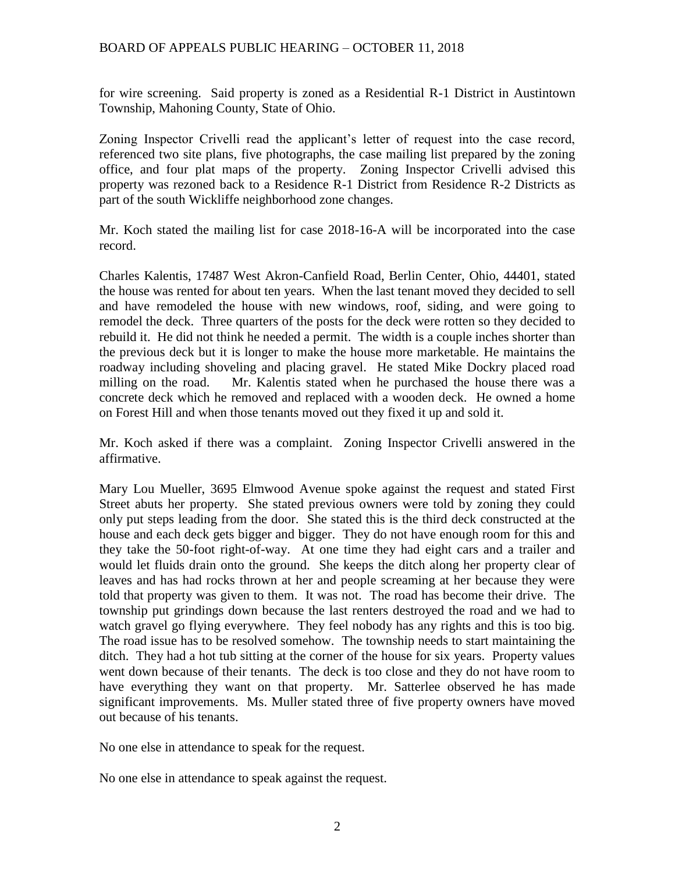for wire screening. Said property is zoned as a Residential R-1 District in Austintown Township, Mahoning County, State of Ohio.

Zoning Inspector Crivelli read the applicant's letter of request into the case record, referenced two site plans, five photographs, the case mailing list prepared by the zoning office, and four plat maps of the property. Zoning Inspector Crivelli advised this property was rezoned back to a Residence R-1 District from Residence R-2 Districts as part of the south Wickliffe neighborhood zone changes.

Mr. Koch stated the mailing list for case 2018-16-A will be incorporated into the case record.

Charles Kalentis, 17487 West Akron-Canfield Road, Berlin Center, Ohio, 44401, stated the house was rented for about ten years. When the last tenant moved they decided to sell and have remodeled the house with new windows, roof, siding, and were going to remodel the deck. Three quarters of the posts for the deck were rotten so they decided to rebuild it. He did not think he needed a permit. The width is a couple inches shorter than the previous deck but it is longer to make the house more marketable. He maintains the roadway including shoveling and placing gravel. He stated Mike Dockry placed road milling on the road. Mr. Kalentis stated when he purchased the house there was a concrete deck which he removed and replaced with a wooden deck. He owned a home on Forest Hill and when those tenants moved out they fixed it up and sold it.

Mr. Koch asked if there was a complaint. Zoning Inspector Crivelli answered in the affirmative.

Mary Lou Mueller, 3695 Elmwood Avenue spoke against the request and stated First Street abuts her property. She stated previous owners were told by zoning they could only put steps leading from the door. She stated this is the third deck constructed at the house and each deck gets bigger and bigger. They do not have enough room for this and they take the 50-foot right-of-way. At one time they had eight cars and a trailer and would let fluids drain onto the ground. She keeps the ditch along her property clear of leaves and has had rocks thrown at her and people screaming at her because they were told that property was given to them. It was not. The road has become their drive. The township put grindings down because the last renters destroyed the road and we had to watch gravel go flying everywhere. They feel nobody has any rights and this is too big. The road issue has to be resolved somehow. The township needs to start maintaining the ditch. They had a hot tub sitting at the corner of the house for six years. Property values went down because of their tenants. The deck is too close and they do not have room to have everything they want on that property. Mr. Satterlee observed he has made significant improvements. Ms. Muller stated three of five property owners have moved out because of his tenants.

No one else in attendance to speak for the request.

No one else in attendance to speak against the request.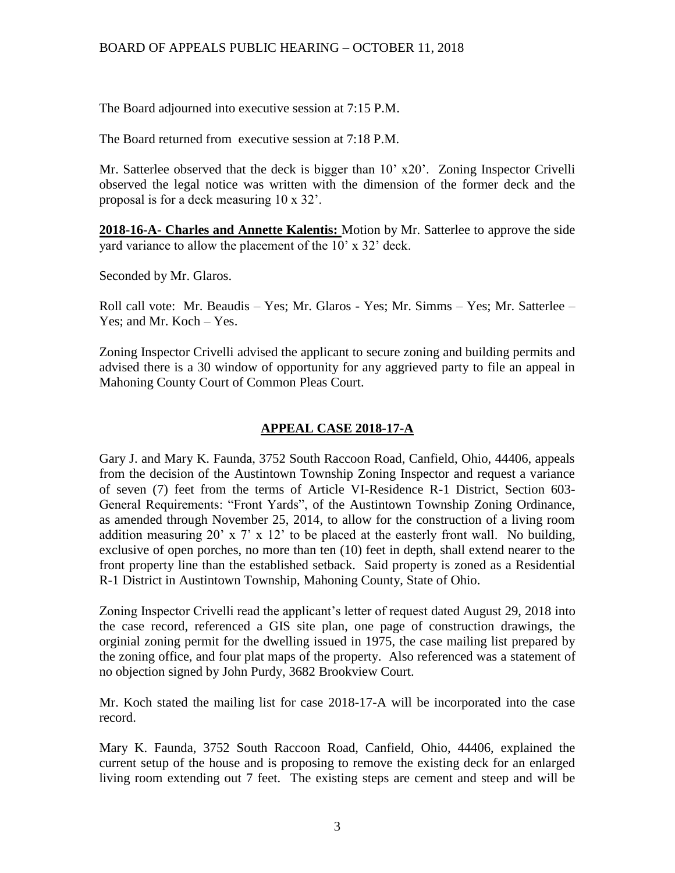The Board adjourned into executive session at 7:15 P.M.

The Board returned from executive session at 7:18 P.M.

Mr. Satterlee observed that the deck is bigger than 10' x20'. Zoning Inspector Crivelli observed the legal notice was written with the dimension of the former deck and the proposal is for a deck measuring 10 x 32'.

**2018-16-A- Charles and Annette Kalentis:** Motion by Mr. Satterlee to approve the side yard variance to allow the placement of the 10' x 32' deck.

Seconded by Mr. Glaros.

Roll call vote: Mr. Beaudis – Yes; Mr. Glaros - Yes; Mr. Simms – Yes; Mr. Satterlee – Yes; and Mr. Koch – Yes.

Zoning Inspector Crivelli advised the applicant to secure zoning and building permits and advised there is a 30 window of opportunity for any aggrieved party to file an appeal in Mahoning County Court of Common Pleas Court.

# **APPEAL CASE 2018-17-A**

Gary J. and Mary K. Faunda, 3752 South Raccoon Road, Canfield, Ohio, 44406, appeals from the decision of the Austintown Township Zoning Inspector and request a variance of seven (7) feet from the terms of Article VI-Residence R-1 District, Section 603- General Requirements: "Front Yards", of the Austintown Township Zoning Ordinance, as amended through November 25, 2014, to allow for the construction of a living room addition measuring 20' x 7' x 12' to be placed at the easterly front wall. No building, exclusive of open porches, no more than ten (10) feet in depth, shall extend nearer to the front property line than the established setback. Said property is zoned as a Residential R-1 District in Austintown Township, Mahoning County, State of Ohio.

Zoning Inspector Crivelli read the applicant's letter of request dated August 29, 2018 into the case record, referenced a GIS site plan, one page of construction drawings, the orginial zoning permit for the dwelling issued in 1975, the case mailing list prepared by the zoning office, and four plat maps of the property. Also referenced was a statement of no objection signed by John Purdy, 3682 Brookview Court.

Mr. Koch stated the mailing list for case 2018-17-A will be incorporated into the case record.

Mary K. Faunda, 3752 South Raccoon Road, Canfield, Ohio, 44406, explained the current setup of the house and is proposing to remove the existing deck for an enlarged living room extending out 7 feet. The existing steps are cement and steep and will be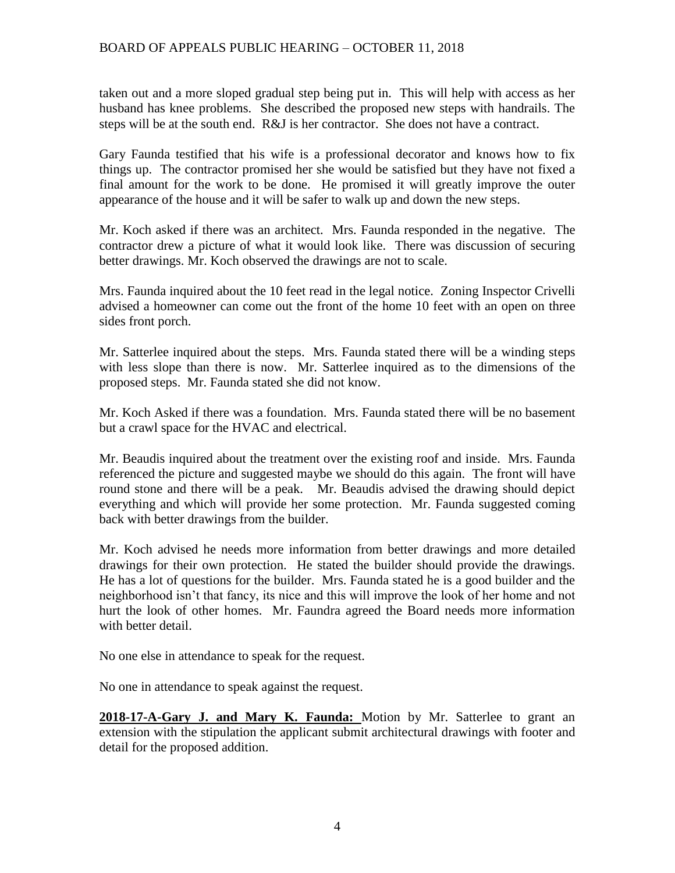taken out and a more sloped gradual step being put in. This will help with access as her husband has knee problems. She described the proposed new steps with handrails. The steps will be at the south end. R&J is her contractor. She does not have a contract.

Gary Faunda testified that his wife is a professional decorator and knows how to fix things up. The contractor promised her she would be satisfied but they have not fixed a final amount for the work to be done. He promised it will greatly improve the outer appearance of the house and it will be safer to walk up and down the new steps.

Mr. Koch asked if there was an architect. Mrs. Faunda responded in the negative. The contractor drew a picture of what it would look like. There was discussion of securing better drawings. Mr. Koch observed the drawings are not to scale.

Mrs. Faunda inquired about the 10 feet read in the legal notice. Zoning Inspector Crivelli advised a homeowner can come out the front of the home 10 feet with an open on three sides front porch.

Mr. Satterlee inquired about the steps. Mrs. Faunda stated there will be a winding steps with less slope than there is now. Mr. Satterlee inquired as to the dimensions of the proposed steps. Mr. Faunda stated she did not know.

Mr. Koch Asked if there was a foundation. Mrs. Faunda stated there will be no basement but a crawl space for the HVAC and electrical.

Mr. Beaudis inquired about the treatment over the existing roof and inside. Mrs. Faunda referenced the picture and suggested maybe we should do this again. The front will have round stone and there will be a peak. Mr. Beaudis advised the drawing should depict everything and which will provide her some protection. Mr. Faunda suggested coming back with better drawings from the builder.

Mr. Koch advised he needs more information from better drawings and more detailed drawings for their own protection. He stated the builder should provide the drawings. He has a lot of questions for the builder. Mrs. Faunda stated he is a good builder and the neighborhood isn't that fancy, its nice and this will improve the look of her home and not hurt the look of other homes. Mr. Faundra agreed the Board needs more information with better detail.

No one else in attendance to speak for the request.

No one in attendance to speak against the request.

**2018-17-A-Gary J. and Mary K. Faunda:** Motion by Mr. Satterlee to grant an extension with the stipulation the applicant submit architectural drawings with footer and detail for the proposed addition.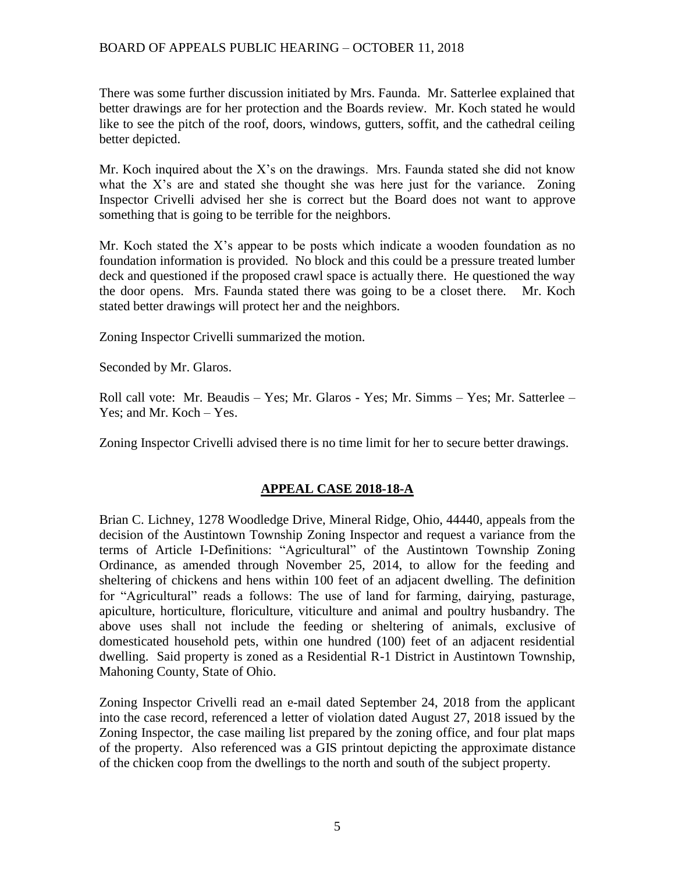There was some further discussion initiated by Mrs. Faunda. Mr. Satterlee explained that better drawings are for her protection and the Boards review. Mr. Koch stated he would like to see the pitch of the roof, doors, windows, gutters, soffit, and the cathedral ceiling better depicted.

Mr. Koch inquired about the X's on the drawings. Mrs. Faunda stated she did not know what the X's are and stated she thought she was here just for the variance. Zoning Inspector Crivelli advised her she is correct but the Board does not want to approve something that is going to be terrible for the neighbors.

Mr. Koch stated the X's appear to be posts which indicate a wooden foundation as no foundation information is provided. No block and this could be a pressure treated lumber deck and questioned if the proposed crawl space is actually there. He questioned the way the door opens. Mrs. Faunda stated there was going to be a closet there. Mr. Koch stated better drawings will protect her and the neighbors.

Zoning Inspector Crivelli summarized the motion.

Seconded by Mr. Glaros.

Roll call vote: Mr. Beaudis – Yes; Mr. Glaros - Yes; Mr. Simms – Yes; Mr. Satterlee – Yes; and Mr. Koch – Yes.

Zoning Inspector Crivelli advised there is no time limit for her to secure better drawings.

# **APPEAL CASE 2018-18-A**

Brian C. Lichney, 1278 Woodledge Drive, Mineral Ridge, Ohio, 44440, appeals from the decision of the Austintown Township Zoning Inspector and request a variance from the terms of Article I-Definitions: "Agricultural" of the Austintown Township Zoning Ordinance, as amended through November 25, 2014, to allow for the feeding and sheltering of chickens and hens within 100 feet of an adjacent dwelling. The definition for "Agricultural" reads a follows: The use of land for farming, dairying, pasturage, apiculture, horticulture, floriculture, viticulture and animal and poultry husbandry. The above uses shall not include the feeding or sheltering of animals, exclusive of domesticated household pets, within one hundred (100) feet of an adjacent residential dwelling. Said property is zoned as a Residential R-1 District in Austintown Township, Mahoning County, State of Ohio.

Zoning Inspector Crivelli read an e-mail dated September 24, 2018 from the applicant into the case record, referenced a letter of violation dated August 27, 2018 issued by the Zoning Inspector, the case mailing list prepared by the zoning office, and four plat maps of the property. Also referenced was a GIS printout depicting the approximate distance of the chicken coop from the dwellings to the north and south of the subject property.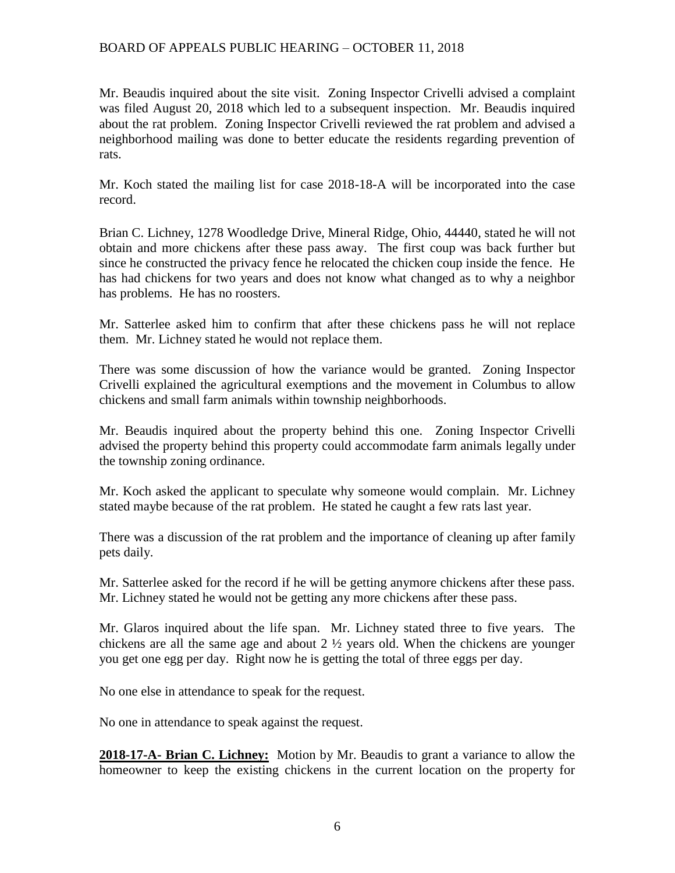Mr. Beaudis inquired about the site visit. Zoning Inspector Crivelli advised a complaint was filed August 20, 2018 which led to a subsequent inspection. Mr. Beaudis inquired about the rat problem. Zoning Inspector Crivelli reviewed the rat problem and advised a neighborhood mailing was done to better educate the residents regarding prevention of rats.

Mr. Koch stated the mailing list for case 2018-18-A will be incorporated into the case record.

Brian C. Lichney, 1278 Woodledge Drive, Mineral Ridge, Ohio, 44440, stated he will not obtain and more chickens after these pass away. The first coup was back further but since he constructed the privacy fence he relocated the chicken coup inside the fence. He has had chickens for two years and does not know what changed as to why a neighbor has problems. He has no roosters.

Mr. Satterlee asked him to confirm that after these chickens pass he will not replace them. Mr. Lichney stated he would not replace them.

There was some discussion of how the variance would be granted. Zoning Inspector Crivelli explained the agricultural exemptions and the movement in Columbus to allow chickens and small farm animals within township neighborhoods.

Mr. Beaudis inquired about the property behind this one. Zoning Inspector Crivelli advised the property behind this property could accommodate farm animals legally under the township zoning ordinance.

Mr. Koch asked the applicant to speculate why someone would complain. Mr. Lichney stated maybe because of the rat problem. He stated he caught a few rats last year.

There was a discussion of the rat problem and the importance of cleaning up after family pets daily.

Mr. Satterlee asked for the record if he will be getting anymore chickens after these pass. Mr. Lichney stated he would not be getting any more chickens after these pass.

Mr. Glaros inquired about the life span. Mr. Lichney stated three to five years. The chickens are all the same age and about  $2 \frac{1}{2}$  years old. When the chickens are younger you get one egg per day. Right now he is getting the total of three eggs per day.

No one else in attendance to speak for the request.

No one in attendance to speak against the request.

**2018-17-A- Brian C. Lichney:** Motion by Mr. Beaudis to grant a variance to allow the homeowner to keep the existing chickens in the current location on the property for